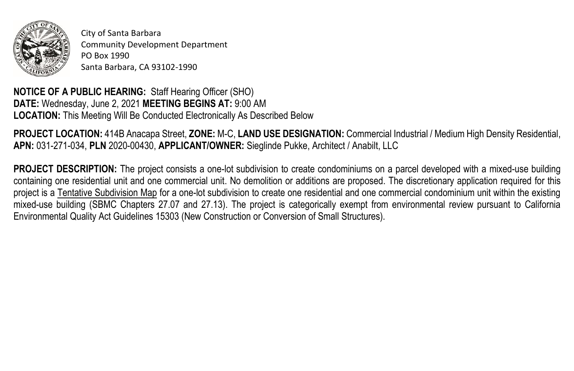

City of Santa Barbara Community Development Department PO Box 1990 Santa Barbara, CA 93102-1990

**NOTICE OF A PUBLIC HEARING:** Staff Hearing Officer (SHO) **DATE:** Wednesday, June 2, 2021 **MEETING BEGINS AT:** 9:00 AM **LOCATION:** This Meeting Will Be Conducted Electronically As Described Below

**PROJECT LOCATION:** 414B Anacapa Street, **ZONE:** M-C, **LAND USE DESIGNATION:** Commercial Industrial / Medium High Density Residential, **APN:** 031-271-034, **PLN** 2020-00430, **APPLICANT/OWNER:** Sieglinde Pukke, Architect / Anabilt, LLC

**PROJECT DESCRIPTION:** The project consists a one-lot subdivision to create condominiums on a parcel developed with a mixed-use building containing one residential unit and one commercial unit. No demolition or additions are proposed. The discretionary application required for this project is a Tentative Subdivision Map for a one-lot subdivision to create one residential and one commercial condominium unit within the existing mixed-use building (SBMC Chapters 27.07 and 27.13). The project is categorically exempt from environmental review pursuant to California Environmental Quality Act Guidelines 15303 (New Construction or Conversion of Small Structures).